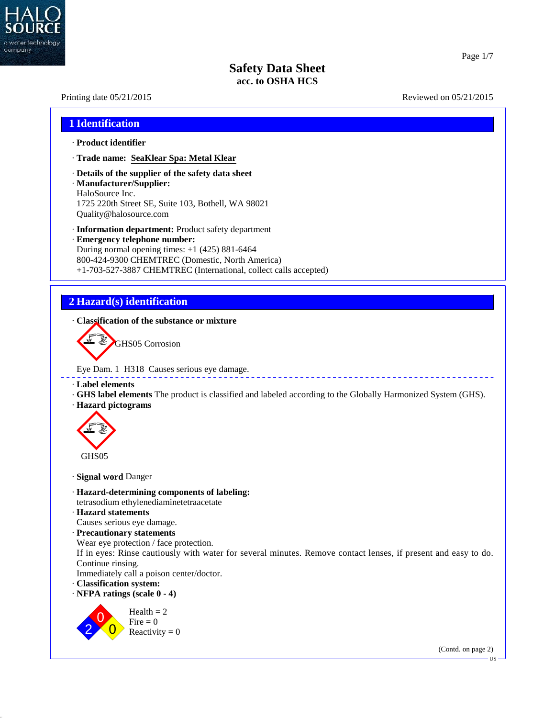

40.2.7

## **Safety Data Sheet acc. to OSHA HCS**

## Printing date  $05/21/2015$  Reviewed on  $05/21/2015$ **1 Identification** · **Product identifier** · **Trade name: SeaKlear Spa: Metal Klear** · **Details of the supplier of the safety data sheet** · **Manufacturer/Supplier:** HaloSource Inc. 1725 220th Street SE, Suite 103, Bothell, WA 98021 Quality@halosource.com · **Information department:** Product safety department · **Emergency telephone number:** During normal opening times: +1 (425) 881-6464 800-424-9300 CHEMTREC (Domestic, North America) +1-703-527-3887 CHEMTREC (International, collect calls accepted) **2 Hazard(s) identification** · **Classification of the substance or mixture** GHS05 Corrosion Eye Dam. 1 H318 Causes serious eye damage. · **Label elements** · **GHS label elements** The product is classified and labeled according to the Globally Harmonized System (GHS). · **Hazard pictograms** GHS05 · **Signal word** Danger · **Hazard-determining components of labeling:** tetrasodium ethylenediaminetetraacetate · **Hazard statements** Causes serious eye damage. · **Precautionary statements** Wear eye protection / face protection. If in eyes: Rinse cautiously with water for several minutes. Remove contact lenses, if present and easy to do. Continue rinsing. Immediately call a poison center/doctor. · **Classification system:** · **NFPA ratings (scale 0 - 4)**  $2 \times 0$  Reactivity = 0 Fire  $= 0$  $Health = 2$ (Contd. on page 2)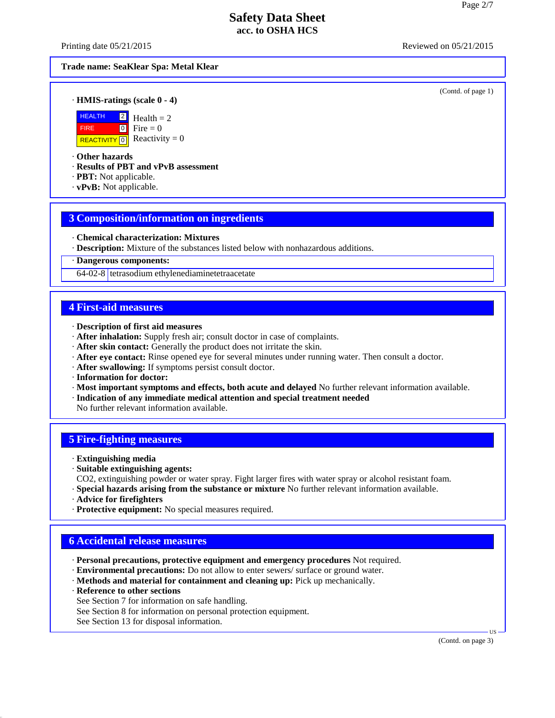Printing date  $05/21/2015$  Reviewed on  $05/21/2015$ 

#### **Trade name: SeaKlear Spa: Metal Klear**

(Contd. of page 1)

· **HMIS-ratings (scale 0 - 4)**



REACTIVITY  $\boxed{0}$  Reactivity = 0  $\angle$  Health = 2  $\bullet$  Fire = 0

· **Other hazards**

· **Results of PBT and vPvB assessment**

- · **PBT:** Not applicable.
- · **vPvB:** Not applicable.

#### **3 Composition/information on ingredients**

- · **Chemical characterization: Mixtures**
- · **Description:** Mixture of the substances listed below with nonhazardous additions.

· **Dangerous components:**

64-02-8 tetrasodium ethylenediaminetetraacetate

#### **4 First-aid measures**

- · **Description of first aid measures**
- · **After inhalation:** Supply fresh air;consult doctor in case of complaints.
- · **After skin contact:** Generally the product does not irritate the skin.
- · **After eye contact:** Rinse opened eye for several minutes under running water. Then consult a doctor.
- · **After swallowing:** If symptoms persist consult doctor.
- · **Information for doctor:**
- · **Most important symptoms and effects, both acute and delayed** No further relevant information available.
- · **Indication of any immediate medical attention and special treatment needed**

No further relevant information available.

#### **5 Fire-fighting measures**

- · **Extinguishing media**
- · **Suitable extinguishing agents:**
- CO2, extinguishing powder or water spray. Fight larger fires with water spray or alcohol resistant foam.
- · **Special hazards arising from the substance or mixture** No further relevant information available.
- · **Advice for firefighters**
- · **Protective equipment:** No special measures required.

## **6 Accidental release measures**

- · **Personal precautions, protective equipment and emergency procedures** Not required.
- · **Environmental precautions:** Do not allow to enter sewers/ surface or ground water.
- · **Methods and material for containment and cleaning up:** Pick up mechanically.
- · **Reference to other sections**

40.2.7

- See Section 7 for information on safe handling.
- See Section 8 for information on personal protection equipment.
- See Section 13 for disposal information.

(Contd. on page 3)

 $\overline{US}$   $\longrightarrow$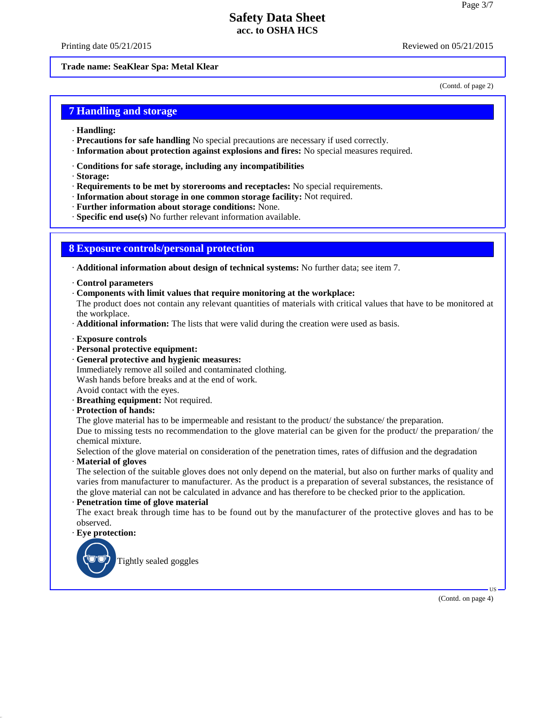Printing date  $05/21/2015$  Reviewed on  $05/21/2015$ 

**Trade name: SeaKlear Spa: Metal Klear**

(Contd. of page 2)

#### **7 Handling and storage**

- · **Handling:**
- · **Precautions for safe handling** No special precautions are necessary if used correctly.
- · **Information about protection against explosions and fires:** No special measures required.
- · **Conditions for safe storage, including any incompatibilities**
- · **Storage:**
- · **Requirements to be met by storerooms and receptacles:** No special requirements.
- · **Information about storage in one common storage facility:** Not required.
- · **Further information about storage conditions:** None.
- · **Specific end use(s)** No further relevant information available.

#### **8 Exposure controls/personal protection**

· **Additional information about design of technical systems:** No further data; see item 7.

- · **Control parameters**
- · **Components with limit values that require monitoring at the workplace:**

The product does not contain any relevant quantities of materials with critical values that have to be monitored at the workplace.

- · **Additional information:** The lists that were valid during the creation were used as basis.
- · **Exposure controls**
- · **Personal protective equipment:**
- · **General protective and hygienic measures:**
- Immediately remove all soiled and contaminated clothing. Wash hands before breaks and at the end of work. Avoid contact with the eyes.
- · **Breathing equipment:** Not required.
- · **Protection of hands:**

The glove material has to be impermeable and resistant to the product/ the substance/ the preparation.

Due to missing tests no recommendation to the glove material can be given for the product/ the preparation/ the chemical mixture.

Selection of the glove material on consideration of the penetration times, rates of diffusion and the degradation

· **Material of gloves**

The selection of the suitable gloves does not only depend on the material, but also on further marks of quality and varies from manufacturer to manufacturer. As the product is a preparation of several substances, the resistance of the glove material can not be calculated in advance and has therefore to be checked prior to the application.

· **Penetration time of glove material**

The exact break through time has to be found out by the manufacturer of the protective gloves and has to be observed.

· **Eye protection:**

40.2.7



 $\overline{\mathsf{US}}$   $\overline{\phantom{0}}$ (Contd. on page 4)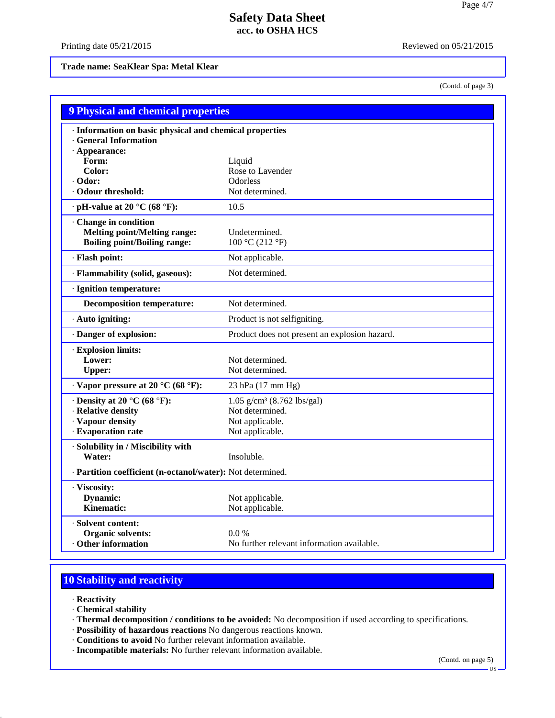Printing date  $05/21/2015$  Reviewed on  $05/21/2015$ 

**Trade name: SeaKlear Spa: Metal Klear**

(Contd. of page 3)

| <b>9 Physical and chemical properties</b>                                                                    |                                               |  |
|--------------------------------------------------------------------------------------------------------------|-----------------------------------------------|--|
| · Information on basic physical and chemical properties<br><b>General Information</b><br>$\cdot$ Appearance: |                                               |  |
| Form:                                                                                                        | Liquid                                        |  |
| Color:                                                                                                       | Rose to Lavender                              |  |
| · Odor:                                                                                                      | Odorless                                      |  |
| <b>Odour threshold:</b>                                                                                      | Not determined.                               |  |
| $\cdot$ pH-value at 20 °C (68 °F):                                                                           | 10.5                                          |  |
| Change in condition                                                                                          |                                               |  |
| <b>Melting point/Melting range:</b>                                                                          | Undetermined.                                 |  |
| <b>Boiling point/Boiling range:</b>                                                                          | 100 °C (212 °F)                               |  |
| · Flash point:                                                                                               | Not applicable.                               |  |
| · Flammability (solid, gaseous):                                                                             | Not determined.                               |  |
| · Ignition temperature:                                                                                      |                                               |  |
| <b>Decomposition temperature:</b>                                                                            | Not determined.                               |  |
| · Auto igniting:                                                                                             | Product is not selfigniting.                  |  |
| Danger of explosion:                                                                                         | Product does not present an explosion hazard. |  |
| · Explosion limits:                                                                                          |                                               |  |
| Lower:                                                                                                       | Not determined.                               |  |
| <b>Upper:</b>                                                                                                | Not determined.                               |  |
| $\cdot$ Vapor pressure at 20 °C (68 °F):                                                                     | 23 hPa (17 mm Hg)                             |  |
| $\cdot$ Density at 20 °C (68 °F):                                                                            | $1.05$ g/cm <sup>3</sup> (8.762 lbs/gal)      |  |
| · Relative density                                                                                           | Not determined.                               |  |
| · Vapour density                                                                                             | Not applicable.                               |  |
| · Evaporation rate                                                                                           | Not applicable.                               |  |
| · Solubility in / Miscibility with                                                                           |                                               |  |
| Water:                                                                                                       | Insoluble.                                    |  |
| · Partition coefficient (n-octanol/water): Not determined.                                                   |                                               |  |
| · Viscosity:                                                                                                 |                                               |  |
| <b>Dynamic:</b>                                                                                              | Not applicable.                               |  |
| Kinematic:                                                                                                   | Not applicable.                               |  |
| · Solvent content:                                                                                           |                                               |  |
| Organic solvents:                                                                                            | $0.0\%$                                       |  |
| Other information                                                                                            | No further relevant information available.    |  |

# **10 Stability and reactivity**

· **Reactivity**

40.2.7

- · **Chemical stability**
- · **Thermal decomposition / conditions to be avoided:** No decomposition if used according to specifications.
- · **Possibility of hazardous reactions** No dangerous reactions known.
- · **Conditions to avoid** No further relevant information available.
- · **Incompatible materials:** No further relevant information available.

(Contd. on page 5)

US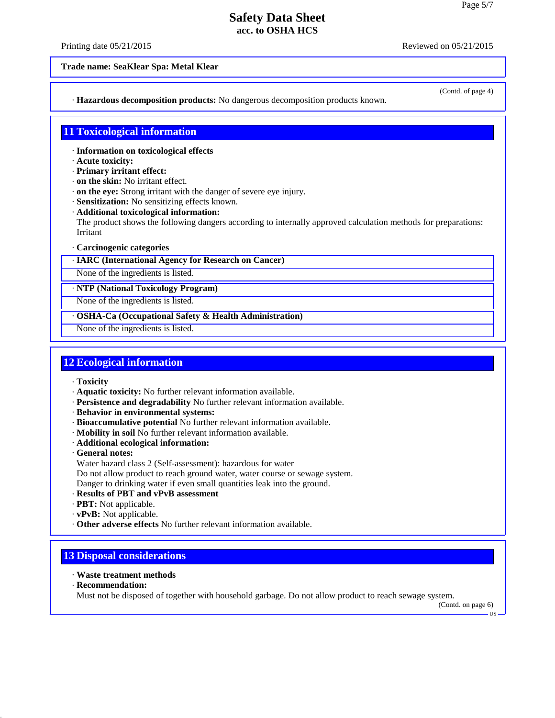Printing date  $05/21/2015$  Reviewed on  $05/21/2015$ 

(Contd. of page 4)

**Trade name: SeaKlear Spa: Metal Klear**

· **Hazardous decomposition products:** No dangerous decomposition products known.

#### **11 Toxicological information**

- · **Information on toxicological effects**
- · **Acute toxicity:**
- · **Primary irritant effect:**
- · **on the skin:** No irritant effect.
- · **on the eye:** Strong irritant with the danger of severe eye injury.
- · **Sensitization:** No sensitizing effects known.
- · **Additional toxicological information:**

The product shows the following dangers according to internally approved calculation methods for preparations: Irritant

- · **Carcinogenic categories**
- · **IARC (International Agency for Research on Cancer)**

None of the ingredients is listed.

· **NTP (National Toxicology Program)**

None of the ingredients is listed.

· **OSHA-Ca (Occupational Safety & Health Administration)**

None of the ingredients is listed.

## **12 Ecological information**

- · **Toxicity**
- · **Aquatic toxicity:** No further relevant information available.
- · **Persistence and degradability** No further relevant information available.
- · **Behavior in environmental systems:**
- · **Bioaccumulative potential** No further relevant information available.
- · **Mobility in soil** No further relevant information available.
- · **Additional ecological information:**

· **General notes:**

Water hazard class 2 (Self-assessment): hazardous for water

- Do not allow product to reach ground water, water course or sewage system. Danger to drinking water if even small quantities leak into the ground.
- · **Results of PBT and vPvB assessment**
- · **PBT:** Not applicable.
- · **vPvB:** Not applicable.
- · **Other adverse effects** No further relevant information available.

## **13 Disposal considerations**

- · **Waste treatment methods**
- · **Recommendation:**

40.2.7

Must not be disposed of together with household garbage. Do not allow product to reach sewage system.

(Contd. on page 6)US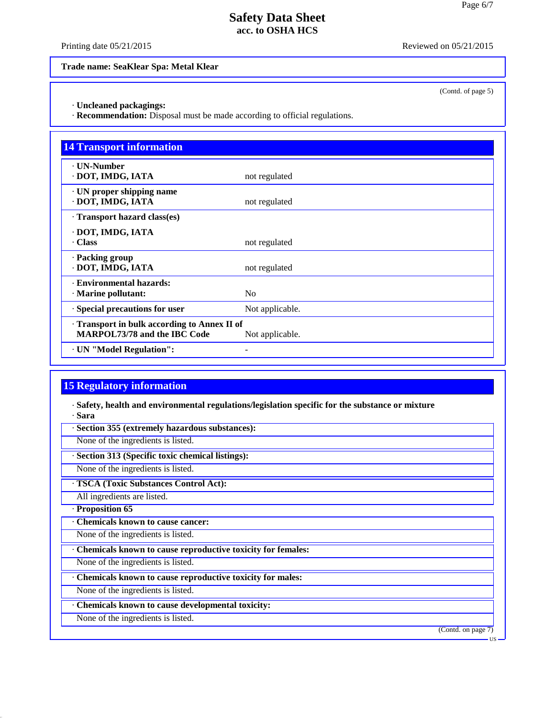Printing date  $05/21/2015$  Reviewed on  $05/21/2015$ 

(Contd. of page 5)

**Trade name: SeaKlear Spa: Metal Klear**

· **Uncleaned packagings:**

· **Recommendation:** Disposal must be made according to official regulations.

| <b>14 Transport information</b>                                                   |                 |
|-----------------------------------------------------------------------------------|-----------------|
| <b>· UN-Number</b><br>DOT, IMDG, IATA                                             | not regulated   |
| · UN proper shipping name<br>· DOT, IMDG, IATA                                    | not regulated   |
| Transport hazard class(es)                                                        |                 |
| · DOT, IMDG, IATA<br>Class                                                        | not regulated   |
| · Packing group<br>· DOT, IMDG, IATA                                              | not regulated   |
| · Environmental hazards:<br>$\cdot$ Marine pollutant:                             | N <sub>0</sub>  |
| · Special precautions for user                                                    | Not applicable. |
| Transport in bulk according to Annex II of<br><b>MARPOL73/78 and the IBC Code</b> | Not applicable. |
| · UN "Model Regulation":                                                          |                 |

## **15 Regulatory information**

· **Safety, health and environmental regulations/legislation specific for the substance or mixture** · **Sara**

· **Section 355 (extremely hazardous substances):**

None of the ingredients is listed.

· **Section 313 (Specific toxic chemical listings):**

None of the ingredients is listed.

· **TSCA (Toxic Substances Control Act):**

All ingredients are listed.

· **Proposition 65**

40.2.7

· **Chemicals known to cause cancer:**

None of the ingredients is listed.

· **Chemicals known to cause reproductive toxicity for females:**

None of the ingredients is listed.

· **Chemicals known to cause reproductive toxicity for males:**

None of the ingredients is listed.

· **Chemicals known to cause developmental toxicity:**

None of the ingredients is listed.

(Contd. on page 7)

US